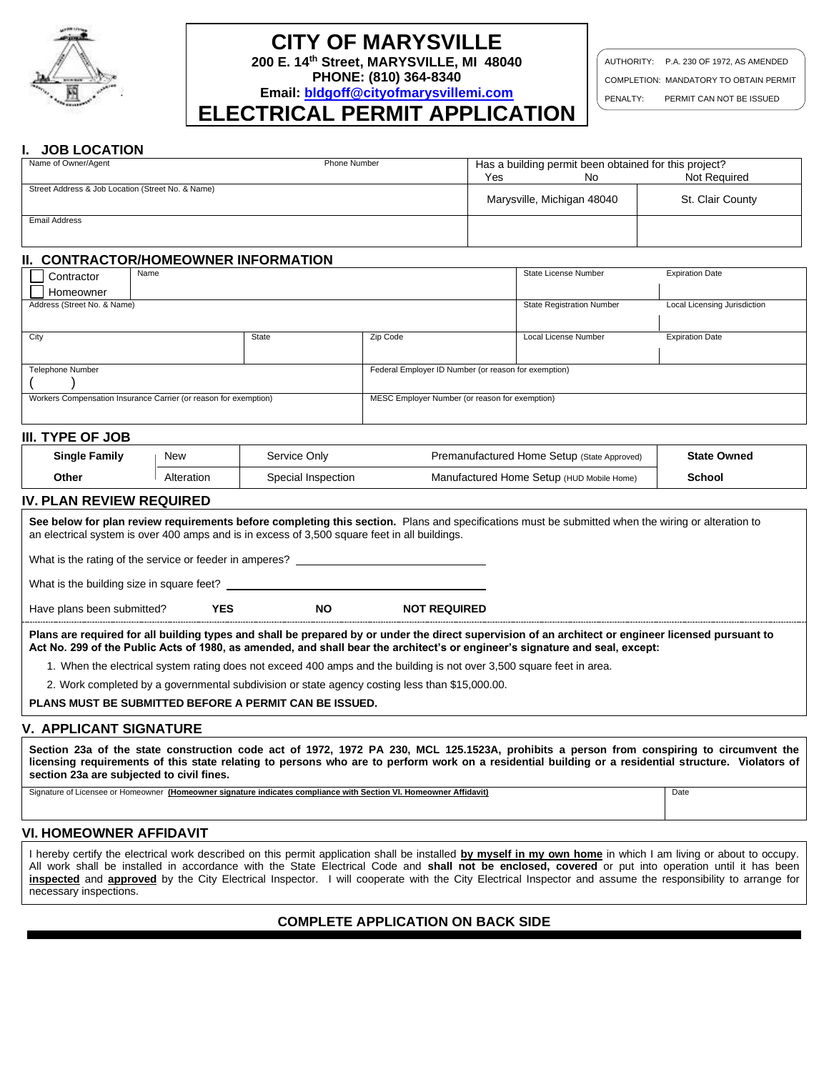

# **CITY OF MARYSVILLE**

**200 E. 14th Street, MARYSVILLE, MI 48040 PHONE: (810) 364-8340**

**Email: [bldgoff@cityofmarysvillemi.com](mailto:bldgoff@cityofmarysvillemi.com)**

**ELECTRICAL PERMIT APPLICATION**

AUTHORITY: P.A. 230 OF 1972, AS AMENDED COMPLETION: MANDATORY TO OBTAIN PERMIT PENALTY: PERMIT CAN NOT BE ISSUED

#### **I. JOB LOCATION**

| Name of Owner/Agent                               | Phone Number | Has a building permit been obtained for this project? |                            |                  |  |
|---------------------------------------------------|--------------|-------------------------------------------------------|----------------------------|------------------|--|
|                                                   |              | Yes                                                   | No                         | Not Required     |  |
| Street Address & Job Location (Street No. & Name) |              |                                                       |                            |                  |  |
|                                                   |              |                                                       | Marysville, Michigan 48040 | St. Clair County |  |
|                                                   |              |                                                       |                            |                  |  |
| Email Address                                     |              |                                                       |                            |                  |  |
|                                                   |              |                                                       |                            |                  |  |
|                                                   |              |                                                       |                            |                  |  |

#### **II. CONTRACTOR/HOMEOWNER INFORMATION**

| Name<br>Contractor                                               |       |          | State License Number                                 | <b>Expiration Date</b>       |  |  |  |
|------------------------------------------------------------------|-------|----------|------------------------------------------------------|------------------------------|--|--|--|
| Homeowner                                                        |       |          |                                                      |                              |  |  |  |
| Address (Street No. & Name)                                      |       |          | <b>State Registration Number</b>                     | Local Licensing Jurisdiction |  |  |  |
|                                                                  |       |          |                                                      |                              |  |  |  |
| City                                                             | State | Zip Code | Local License Number                                 | <b>Expiration Date</b>       |  |  |  |
|                                                                  |       |          |                                                      |                              |  |  |  |
| Telephone Number                                                 |       |          | Federal Employer ID Number (or reason for exemption) |                              |  |  |  |
|                                                                  |       |          |                                                      |                              |  |  |  |
| Workers Compensation Insurance Carrier (or reason for exemption) |       |          | MESC Employer Number (or reason for exemption)       |                              |  |  |  |
|                                                                  |       |          |                                                      |                              |  |  |  |

#### **III. TYPE OF JOB**

| <b>Single Family</b> | New        | Service Only       | Premanufactured Home Setup (State Approved) | <b>State Owned</b> |  |
|----------------------|------------|--------------------|---------------------------------------------|--------------------|--|
| Other                | Alteration | Special Inspection | Manufactured Home Setup (HUD Mobile Home)   | School             |  |

#### **IV. PLAN REVIEW REQUIRED**

**See below for plan review requirements before completing this section.** Plans and specifications must be submitted when the wiring or alteration to an electrical system is over 400 amps and is in excess of 3,500 square feet in all buildings. What is the rating of the service or feeder in amperes? What is the building size in square feet? Have plans been submitted? **YES NO NOT REQUIRED Plans are required for all building types and shall be prepared by or under the direct supervision of an architect or engineer licensed pursuant to Act No. 299 of the Public Acts of 1980, as amended, and shall bear the architect's or engineer's signature and seal, except:**

1. When the electrical system rating does not exceed 400 amps and the building is not over 3,500 square feet in area.

2. Work completed by a governmental subdivision or state agency costing less than \$15,000.00.

**PLANS MUST BE SUBMITTED BEFORE A PERMIT CAN BE ISSUED.**

#### **V. APPLICANT SIGNATURE**

**Section 23a of the state construction code act of 1972, 1972 PA 230, MCL 125.1523A, prohibits a person from conspiring to circumvent the licensing requirements of this state relating to persons who are to perform work on a residential building or a residential structure. Violators of section 23a are subjected to civil fines.** 

Signature of Licensee or Homeowner **(Homeowner signature indicates compliance with Section VI. Homeowner Affidavit)** Date

# **VI. HOMEOWNER AFFIDAVIT**

I hereby certify the electrical work described on this permit application shall be installed **by myself in my own home** in which I am living or about to occupy. All work shall be installed in accordance with the State Electrical Code and **shall not be enclosed, covered** or put into operation until it has been **inspected** and **approved** by the City Electrical Inspector. I will cooperate with the City Electrical Inspector and assume the responsibility to arrange for necessary inspections.

# **COMPLETE APPLICATION ON BACK SIDE**